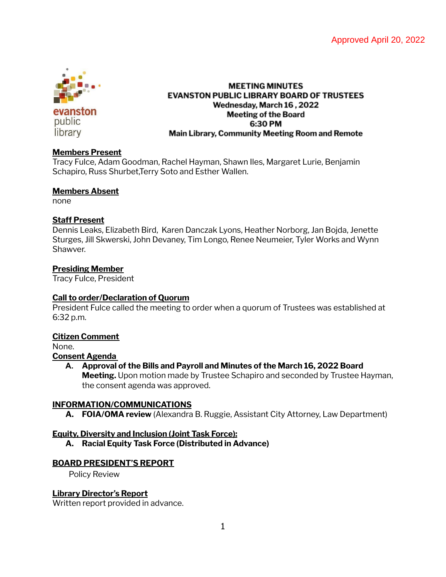

evanston public library

## **MEETING MINUTES EVANSTON PUBLIC LIBRARY BOARD OF TRUSTEES** Wednesday, March 16, 2022 **Meeting of the Board** 6:30 PM Main Library, Community Meeting Room and Remote

## **Members Present**

Tracy Fulce, Adam Goodman, Rachel Hayman, Shawn Iles, Margaret Lurie, Benjamin Schapiro, Russ Shurbet,Terry Soto and Esther Wallen.

## **Members Absent**

none

# **Staff Present**

Dennis Leaks, Elizabeth Bird, Karen Danczak Lyons, Heather Norborg, Jan Bojda, Jenette Sturges, Jill Skwerski, John Devaney, Tim Longo, Renee Neumeier, Tyler Works and Wynn Shawver.

# **Presiding Member**

Tracy Fulce, President

# **Call to order/Declaration of Quorum**

President Fulce called the meeting to order when a quorum of Trustees was established at 6:32 p.m.

# **Citizen Comment**

None.

# **Consent Agenda**

# **A. Approval of the Bills and Payroll and Minutes of the March 16, 2022 Board**

**Meeting.** Upon motion made by Trustee Schapiro and seconded by Trustee Hayman, the consent agenda was approved.

# **INFORMATION/COMMUNICATIONS**

**A. FOIA/OMA review** (Alexandra B. Ruggie, Assistant City Attorney, Law Department)

# **Equity, Diversity and Inclusion (Joint Task Force):**

**A. Racial Equity Task Force (Distributed in Advance)**

# **BOARD PRESIDENT'S REPORT**

Policy Review

# **Library Director's Report**

Written report provided in advance.